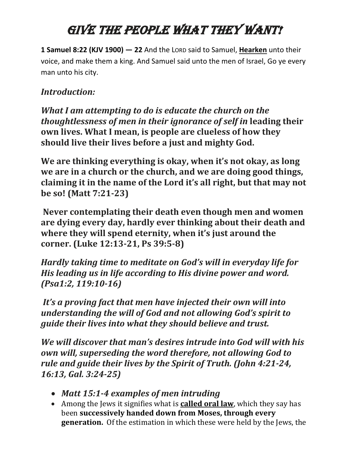## GIVE THE PEOPLE WHAT THEY WANT!

**1 Samuel 8:22 (KJV 1900) — 22** And the LORD said to Samuel, **Hearken** unto their voice, and make them a king. And Samuel said unto the men of Israel, Go ye every man unto his city.

## *Introduction:*

*What I am attempting to do is educate the church on the thoughtlessness of men in their ignorance of self in* **leading their own lives. What I mean, is people are clueless of how they should live their lives before a just and mighty God.**

**We are thinking everything is okay, when it's not okay, as long we are in a church or the church, and we are doing good things, claiming it in the name of the Lord it's all right, but that may not be so! (Matt 7:21-23)**

**Never contemplating their death even though men and women are dying every day, hardly ever thinking about their death and where they will spend eternity, when it's just around the corner. (Luke 12:13-21, Ps 39:5-8)**

*Hardly taking time to meditate on God's will in everyday life for His leading us in life according to His divine power and word. (Psa1:2, 119:10-16)*

*It's a proving fact that men have injected their own will into understanding the will of God and not allowing God's spirit to guide their lives into what they should believe and trust.* 

*We will discover that man's desires intrude into God will with his own will, superseding the word therefore, not allowing God to rule and guide their lives by the Spirit of Truth. (John 4:21-24, 16:13, Gal. 3:24-25)*

- *Matt 15:1-4 examples of men intruding*
- Among the Jews it signifies what is **called oral law**, which they say has been **successively handed down from Moses, through every generation.** Of the estimation in which these were held by the Jews, the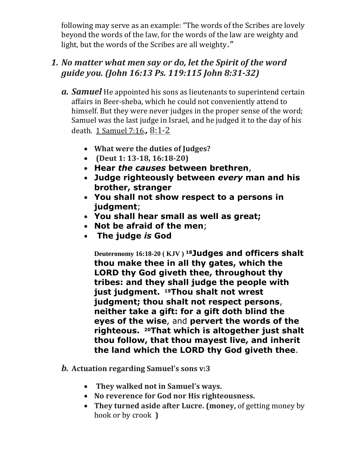following may serve as an example: "The words of the Scribes are lovely beyond the words of the law, for the words of the law are weighty and light, but the words of the Scribes are all weighty."

## *1. No matter what men say or do, let the Spirit of the word guide you. (John 16:13 Ps. 119:115 John 8:31-32)*

- *a. Samuel* He appointed his sons as lieutenants to superintend certain affairs in Beer-sheba, which he could not conveniently attend to himself. But they were never judges in the proper sense of the word; Samuel was the last judge in Israel, and he judged it to the day of his death. [1 Samuel 7:16.](qv://steplinkto4%209%207:16/)*,* 8:1-2
	- **What were the duties of Judges?**
	- **(Deut 1: 13-18, 16:18-20)**
	- **Hear** *the causes* **between brethren**,
	- **Judge righteously between** *every* **man and his brother, stranger**
	- **You shall not show respect to a persons in judgment**;
	- **You shall hear small as well as great;**
	- **Not be afraid of the men**;
	- **The judge** *is* **God**

**Deuteronomy 16:18-20 ( KJV ) <sup>18</sup>Judges and officers shalt thou make thee in all thy gates, which the LORD thy God giveth thee, throughout thy tribes: and they shall judge the people with just judgment. <sup>19</sup>Thou shalt not wrest judgment; thou shalt not respect persons**, **neither take a gift: for a gift doth blind the eyes of the wise**, and **pervert the words of the righteous. <sup>20</sup>That which is altogether just shalt thou follow, that thou mayest live, and inherit the land which the LORD thy God giveth thee**.

- *b.* **Actuation regarding Samuel's sons v:3**
	- **They walked not in Samuel's ways.**
	- **No reverence for God nor His righteousness.**
	- **They turned aside after Lucre. (money,** of getting money by hook or by crook **)**